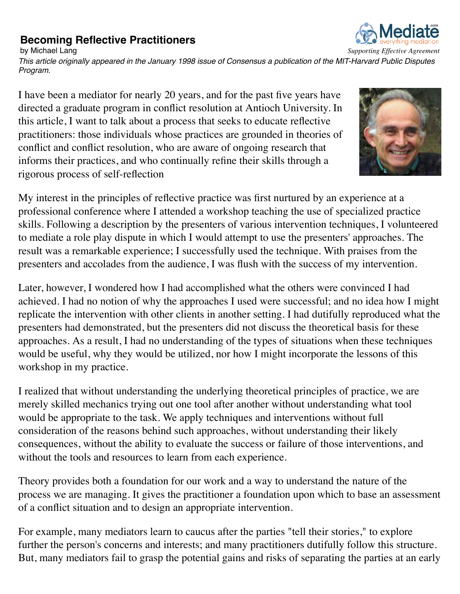## **Becoming Reflective Practitioners**



*This article originally appeared in the January 1998 issue of Consensus a publication of the MIT-Harvard Public Disputes Program.*

I have been a mediator for nearly 20 years, and for the past five years have directed a graduate program in conflict resolution at Antioch University. In this article, I want to talk about a process that seeks to educate reflective practitioners: those individuals whose practices are grounded in theories of conflict and conflict resolution, who are aware of ongoing research that informs their practices, and who continually refine their skills through a rigorous process of self-reflection



My interest in the principles of reflective practice was first nurtured by an experience at a professional conference where I attended a workshop teaching the use of specialized practice skills. Following a description by the presenters of various intervention techniques, I volunteered to mediate a role play dispute in which I would attempt to use the presenters' approaches. The result was a remarkable experience; I successfully used the technique. With praises from the presenters and accolades from the audience, I was flush with the success of my intervention.

Later, however, I wondered how I had accomplished what the others were convinced I had achieved. I had no notion of why the approaches I used were successful; and no idea how I might replicate the intervention with other clients in another setting. I had dutifully reproduced what the presenters had demonstrated, but the presenters did not discuss the theoretical basis for these approaches. As a result, I had no understanding of the types of situations when these techniques would be useful, why they would be utilized, nor how I might incorporate the lessons of this workshop in my practice.

I realized that without understanding the underlying theoretical principles of practice, we are merely skilled mechanics trying out one tool after another without understanding what tool would be appropriate to the task. We apply techniques and interventions without full consideration of the reasons behind such approaches, without understanding their likely consequences, without the ability to evaluate the success or failure of those interventions, and without the tools and resources to learn from each experience.

Theory provides both a foundation for our work and a way to understand the nature of the process we are managing. It gives the practitioner a foundation upon which to base an assessment of a conflict situation and to design an appropriate intervention.

For example, many mediators learn to caucus after the parties "tell their stories," to explore further the person's concerns and interests; and many practitioners dutifully follow this structure. But, many mediators fail to grasp the potential gains and risks of separating the parties at an early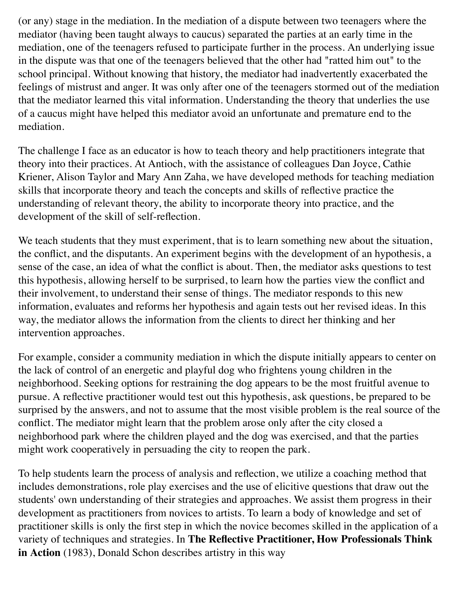(or any) stage in the mediation. In the mediation of a dispute between two teenagers where the mediator (having been taught always to caucus) separated the parties at an early time in the mediation, one of the teenagers refused to participate further in the process. An underlying issue in the dispute was that one of the teenagers believed that the other had "ratted him out" to the school principal. Without knowing that history, the mediator had inadvertently exacerbated the feelings of mistrust and anger. It was only after one of the teenagers stormed out of the mediation that the mediator learned this vital information. Understanding the theory that underlies the use of a caucus might have helped this mediator avoid an unfortunate and premature end to the mediation.

The challenge I face as an educator is how to teach theory and help practitioners integrate that theory into their practices. At Antioch, with the assistance of colleagues Dan Joyce, Cathie Kriener, Alison Taylor and Mary Ann Zaha, we have developed methods for teaching mediation skills that incorporate theory and teach the concepts and skills of reflective practice the understanding of relevant theory, the ability to incorporate theory into practice, and the development of the skill of self-reflection.

We teach students that they must experiment, that is to learn something new about the situation, the conflict, and the disputants. An experiment begins with the development of an hypothesis, a sense of the case, an idea of what the conflict is about. Then, the mediator asks questions to test this hypothesis, allowing herself to be surprised, to learn how the parties view the conflict and their involvement, to understand their sense of things. The mediator responds to this new information, evaluates and reforms her hypothesis and again tests out her revised ideas. In this way, the mediator allows the information from the clients to direct her thinking and her intervention approaches.

For example, consider a community mediation in which the dispute initially appears to center on the lack of control of an energetic and playful dog who frightens young children in the neighborhood. Seeking options for restraining the dog appears to be the most fruitful avenue to pursue. A reflective practitioner would test out this hypothesis, ask questions, be prepared to be surprised by the answers, and not to assume that the most visible problem is the real source of the conflict. The mediator might learn that the problem arose only after the city closed a neighborhood park where the children played and the dog was exercised, and that the parties might work cooperatively in persuading the city to reopen the park.

To help students learn the process of analysis and reflection, we utilize a coaching method that includes demonstrations, role play exercises and the use of elicitive questions that draw out the students' own understanding of their strategies and approaches. We assist them progress in their development as practitioners from novices to artists. To learn a body of knowledge and set of practitioner skills is only the first step in which the novice becomes skilled in the application of a variety of techniques and strategies. In **The Reflective Practitioner, How Professionals Think in Action** (1983), Donald Schon describes artistry in this way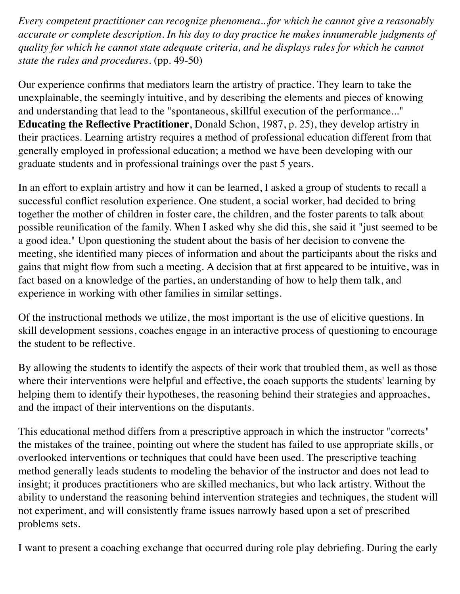*Every competent practitioner can recognize phenomena...for which he cannot give a reasonably accurate or complete description. In his day to day practice he makes innumerable judgments of quality for which he cannot state adequate criteria, and he displays rules for which he cannot state the rules and procedures.* (pp. 49-50)

Our experience confirms that mediators learn the artistry of practice. They learn to take the unexplainable, the seemingly intuitive, and by describing the elements and pieces of knowing and understanding that lead to the "spontaneous, skillful execution of the performance..." **Educating the Reflective Practitioner**, Donald Schon, 1987, p. 25), they develop artistry in their practices. Learning artistry requires a method of professional education different from that generally employed in professional education; a method we have been developing with our graduate students and in professional trainings over the past 5 years.

In an effort to explain artistry and how it can be learned, I asked a group of students to recall a successful conflict resolution experience. One student, a social worker, had decided to bring together the mother of children in foster care, the children, and the foster parents to talk about possible reunification of the family. When I asked why she did this, she said it "just seemed to be a good idea." Upon questioning the student about the basis of her decision to convene the meeting, she identified many pieces of information and about the participants about the risks and gains that might flow from such a meeting. A decision that at first appeared to be intuitive, was in fact based on a knowledge of the parties, an understanding of how to help them talk, and experience in working with other families in similar settings.

Of the instructional methods we utilize, the most important is the use of elicitive questions. In skill development sessions, coaches engage in an interactive process of questioning to encourage the student to be reflective.

By allowing the students to identify the aspects of their work that troubled them, as well as those where their interventions were helpful and effective, the coach supports the students' learning by helping them to identify their hypotheses, the reasoning behind their strategies and approaches, and the impact of their interventions on the disputants.

This educational method differs from a prescriptive approach in which the instructor "corrects" the mistakes of the trainee, pointing out where the student has failed to use appropriate skills, or overlooked interventions or techniques that could have been used. The prescriptive teaching method generally leads students to modeling the behavior of the instructor and does not lead to insight; it produces practitioners who are skilled mechanics, but who lack artistry. Without the ability to understand the reasoning behind intervention strategies and techniques, the student will not experiment, and will consistently frame issues narrowly based upon a set of prescribed problems sets.

I want to present a coaching exchange that occurred during role play debriefing. During the early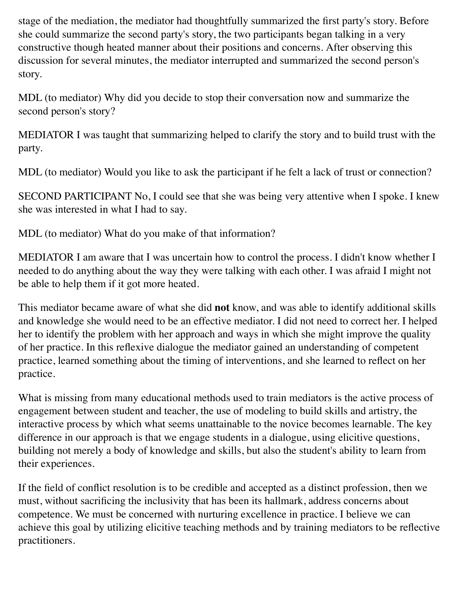stage of the mediation, the mediator had thoughtfully summarized the first party's story. Before she could summarize the second party's story, the two participants began talking in a very constructive though heated manner about their positions and concerns. After observing this discussion for several minutes, the mediator interrupted and summarized the second person's story.

MDL (to mediator) Why did you decide to stop their conversation now and summarize the second person's story?

MEDIATOR I was taught that summarizing helped to clarify the story and to build trust with the party.

MDL (to mediator) Would you like to ask the participant if he felt a lack of trust or connection?

SECOND PARTICIPANT No, I could see that she was being very attentive when I spoke. I knew she was interested in what I had to say.

MDL (to mediator) What do you make of that information?

MEDIATOR I am aware that I was uncertain how to control the process. I didn't know whether I needed to do anything about the way they were talking with each other. I was afraid I might not be able to help them if it got more heated.

This mediator became aware of what she did **not** know, and was able to identify additional skills and knowledge she would need to be an effective mediator. I did not need to correct her. I helped her to identify the problem with her approach and ways in which she might improve the quality of her practice. In this reflexive dialogue the mediator gained an understanding of competent practice, learned something about the timing of interventions, and she learned to reflect on her practice.

What is missing from many educational methods used to train mediators is the active process of engagement between student and teacher, the use of modeling to build skills and artistry, the interactive process by which what seems unattainable to the novice becomes learnable. The key difference in our approach is that we engage students in a dialogue, using elicitive questions, building not merely a body of knowledge and skills, but also the student's ability to learn from their experiences.

If the field of conflict resolution is to be credible and accepted as a distinct profession, then we must, without sacrificing the inclusivity that has been its hallmark, address concerns about competence. We must be concerned with nurturing excellence in practice. I believe we can achieve this goal by utilizing elicitive teaching methods and by training mediators to be reflective practitioners.